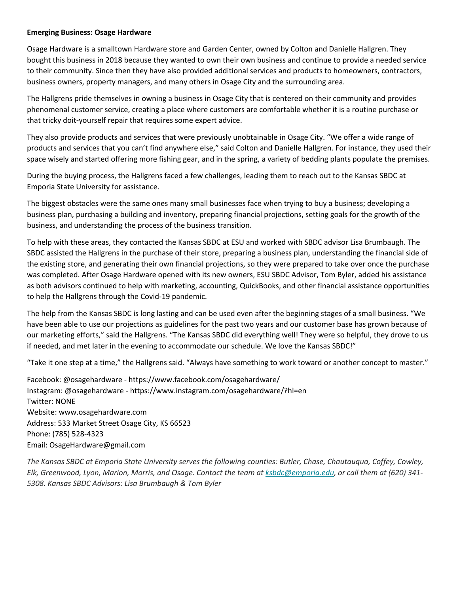## **Emerging Business: Osage Hardware**

Osage Hardware is a smalltown Hardware store and Garden Center, owned by Colton and Danielle Hallgren. They bought this business in 2018 because they wanted to own their own business and continue to provide a needed service to their community. Since then they have also provided additional services and products to homeowners, contractors, business owners, property managers, and many others in Osage City and the surrounding area.

The Hallgrens pride themselves in owning a business in Osage City that is centered on their community and provides phenomenal customer service, creating a place where customers are comfortable whether it is a routine purchase or that tricky doit-yourself repair that requires some expert advice.

They also provide products and services that were previously unobtainable in Osage City. "We offer a wide range of products and services that you can't find anywhere else," said Colton and Danielle Hallgren. For instance, they used their space wisely and started offering more fishing gear, and in the spring, a variety of bedding plants populate the premises.

During the buying process, the Hallgrens faced a few challenges, leading them to reach out to the Kansas SBDC at Emporia State University for assistance.

The biggest obstacles were the same ones many small businesses face when trying to buy a business; developing a business plan, purchasing a building and inventory, preparing financial projections, setting goals for the growth of the business, and understanding the process of the business transition.

To help with these areas, they contacted the Kansas SBDC at ESU and worked with SBDC advisor Lisa Brumbaugh. The SBDC assisted the Hallgrens in the purchase of their store, preparing a business plan, understanding the financial side of the existing store, and generating their own financial projections, so they were prepared to take over once the purchase was completed. After Osage Hardware opened with its new owners, ESU SBDC Advisor, Tom Byler, added his assistance as both advisors continued to help with marketing, accounting, QuickBooks, and other financial assistance opportunities to help the Hallgrens through the Covid-19 pandemic.

The help from the Kansas SBDC is long lasting and can be used even after the beginning stages of a small business. "We have been able to use our projections as guidelines for the past two years and our customer base has grown because of our marketing efforts," said the Hallgrens. "The Kansas SBDC did everything well! They were so helpful, they drove to us if needed, and met later in the evening to accommodate our schedule. We love the Kansas SBDC!"

"Take it one step at a time," the Hallgrens said. "Always have something to work toward or another concept to master."

Facebook: @osagehardware - https://www.facebook.com/osagehardware/ Instagram: @osagehardware - https://www.instagram.com/osagehardware/?hl=en Twitter: NONE Website: www.osagehardware.com Address: 533 Market Street Osage City, KS 66523 Phone: (785) 528-4323 Email: OsageHardware@gmail.com

*The Kansas SBDC at Emporia State University serves the following counties: Butler, Chase, Chautauqua, Coffey, Cowley, Elk, Greenwood, Lyon, Marion, Morris, and Osage. Contact the team at ksbdc@emporia.edu, or call them at (620) 341- 5308. Kansas SBDC Advisors: Lisa Brumbaugh & Tom Byler*